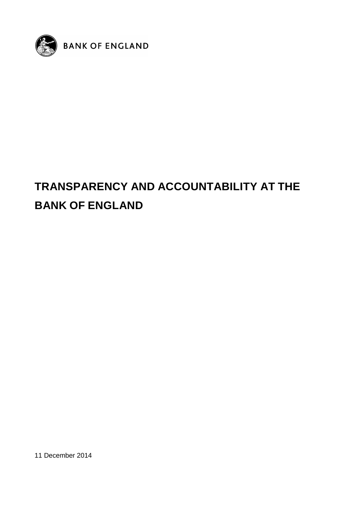

# **TRANSPARENCY AND ACCOUNTABILITY AT THE BANK OF ENGLAND**

11 December 2014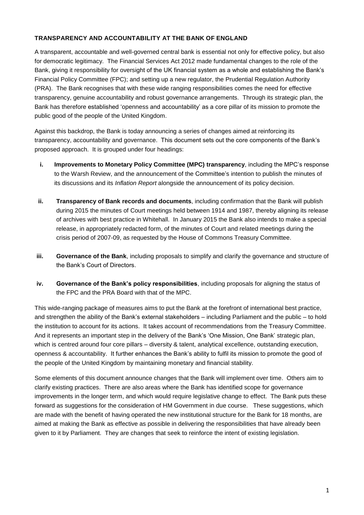## **TRANSPARENCY AND ACCOUNTABILITY AT THE BANK OF ENGLAND**

A transparent, accountable and well-governed central bank is essential not only for effective policy, but also for democratic legitimacy. The Financial Services Act 2012 made fundamental changes to the role of the Bank, giving it responsibility for oversight of the UK financial system as a whole and establishing the Bank's Financial Policy Committee (FPC); and setting up a new regulator, the Prudential Regulation Authority (PRA). The Bank recognises that with these wide ranging responsibilities comes the need for effective transparency, genuine accountability and robust governance arrangements. Through its strategic plan, the Bank has therefore established 'openness and accountability' as a core pillar of its mission to promote the public good of the people of the United Kingdom.

Against this backdrop, the Bank is today announcing a series of changes aimed at reinforcing its transparency, accountability and governance. This document sets out the core components of the Bank's proposed approach. It is grouped under four headings:

- **i. Improvements to Monetary Policy Committee (MPC) transparency**, including the MPC's response to the Warsh Review, and the announcement of the Committee's intention to publish the minutes of its discussions and its *Inflation Report* alongside the announcement of its policy decision.
- **ii. Transparency of Bank records and documents**, including confirmation that the Bank will publish during 2015 the minutes of Court meetings held between 1914 and 1987, thereby aligning its release of archives with best practice in Whitehall. In January 2015 the Bank also intends to make a special release, in appropriately redacted form, of the minutes of Court and related meetings during the crisis period of 2007-09, as requested by the House of Commons Treasury Committee.
- **iii. Governance of the Bank**, including proposals to simplify and clarify the governance and structure of the Bank's Court of Directors.
- **iv. Governance of the Bank's policy responsibilities**, including proposals for aligning the status of the FPC and the PRA Board with that of the MPC.

This wide-ranging package of measures aims to put the Bank at the forefront of international best practice, and strengthen the ability of the Bank's external stakeholders – including Parliament and the public – to hold the institution to account for its actions. It takes account of recommendations from the Treasury Committee. And it represents an important step in the delivery of the Bank's 'One Mission, One Bank' strategic plan, which is centred around four core pillars – diversity & talent, analytical excellence, outstanding execution, openness & accountability. It further enhances the Bank's ability to fulfil its mission to promote the good of the people of the United Kingdom by maintaining monetary and financial stability.

Some elements of this document announce changes that the Bank will implement over time. Others aim to clarify existing practices. There are also areas where the Bank has identified scope for governance improvements in the longer term, and which would require legislative change to effect. The Bank puts these forward as suggestions for the consideration of HM Government in due course. These suggestions, which are made with the benefit of having operated the new institutional structure for the Bank for 18 months, are aimed at making the Bank as effective as possible in delivering the responsibilities that have already been given to it by Parliament. They are changes that seek to reinforce the intent of existing legislation.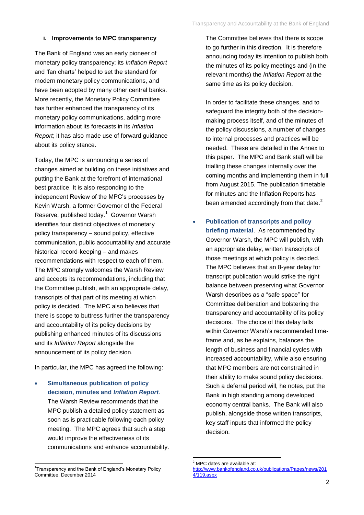#### **i. Improvements to MPC transparency**

The Bank of England was an early pioneer of monetary policy transparency; its *Inflation Report* and 'fan charts' helped to set the standard for modern monetary policy communications, and have been adopted by many other central banks. More recently, the Monetary Policy Committee has further enhanced the transparency of its monetary policy communications, adding more information about its forecasts in its *Inflation Report*; it has also made use of forward guidance about its policy stance.

Today, the MPC is announcing a series of changes aimed at building on these initiatives and putting the Bank at the forefront of international best practice. It is also responding to the independent Review of the MPC's processes by Kevin Warsh, a former Governor of the Federal Reserve, published today.<sup>1</sup> Governor Warsh identifies four distinct objectives of monetary policy transparency – sound policy, effective communication, public accountability and accurate historical record-keeping – and makes recommendations with respect to each of them. The MPC strongly welcomes the Warsh Review and accepts its recommendations, including that the Committee publish, with an appropriate delay, transcripts of that part of its meeting at which policy is decided. The MPC also believes that there is scope to buttress further the transparency and accountability of its policy decisions by publishing enhanced minutes of its discussions and its *Inflation Report* alongside the announcement of its policy decision.

In particular, the MPC has agreed the following:

 **Simultaneous publication of policy decision, minutes and** *Inflation Report*. The Warsh Review recommends that the MPC publish a detailed policy statement as soon as is practicable following each policy meeting. The MPC agrees that such a step would improve the effectiveness of its communications and enhance accountability.

**.** 

The Committee believes that there is scope to go further in this direction. It is therefore announcing today its intention to publish both the minutes of its policy meetings and (in the relevant months) the *Inflation Report* at the same time as its policy decision.

In order to facilitate these changes, and to safeguard the integrity both of the decisionmaking process itself, and of the minutes of the policy discussions, a number of changes to internal processes and practices will be needed. These are detailed in the Annex to this paper. The MPC and Bank staff will be trialling these changes internally over the coming months and implementing them in full from August 2015. The publication timetable for minutes and the Inflation Reports has been amended accordingly from that date. $2$ 

 **Publication of transcripts and policy briefing material**. As recommended by Governor Warsh, the MPC will publish, with an appropriate delay, written transcripts of those meetings at which policy is decided. The MPC believes that an 8-year delay for transcript publication would strike the right balance between preserving what Governor Warsh describes as a "safe space" for Committee deliberation and bolstering the transparency and accountability of its policy decisions. The choice of this delay falls within Governor Warsh's recommended timeframe and, as he explains, balances the length of business and financial cycles with increased accountability, while also ensuring that MPC members are not constrained in their ability to make sound policy decisions. Such a deferral period will, he notes, put the Bank in high standing among developed economy central banks. The Bank will also publish, alongside those written transcripts, key staff inputs that informed the policy decision.

<sup>&</sup>lt;sup>1</sup>Transparency and the Bank of England's Monetary Policy Committee, December 2014

**<sup>.</sup>**  $2$  MPC dates are available at:

[http://www.bankofengland.co.uk/publications/Pages/news/201](http://www.bankofengland.co.uk/publications/Pages/news/2014/119.aspx) [4/119.aspx](http://www.bankofengland.co.uk/publications/Pages/news/2014/119.aspx)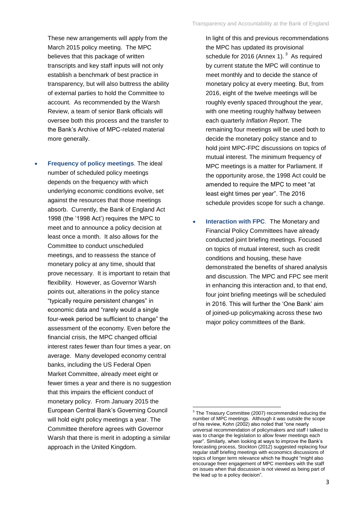These new arrangements will apply from the March 2015 policy meeting. The MPC believes that this package of written transcripts and key staff inputs will not only establish a benchmark of best practice in transparency, but will also buttress the ability of external parties to hold the Committee to account. As recommended by the Warsh Review, a team of senior Bank officials will oversee both this process and the transfer to the Bank's Archive of MPC-related material more generally.

 **Frequency of policy meetings**. The ideal number of scheduled policy meetings depends on the frequency with which underlying economic conditions evolve, set against the resources that those meetings absorb. Currently, the Bank of England Act 1998 (the '1998 Act') requires the MPC to meet and to announce a policy decision at least once a month. It also allows for the Committee to conduct unscheduled meetings, and to reassess the stance of monetary policy at any time, should that prove necessary. It is important to retain that flexibility. However, as Governor Warsh points out, alterations in the policy stance "typically require persistent changes" in economic data and "rarely would a single four-week period be sufficient to change" the assessment of the economy. Even before the financial crisis, the MPC changed official interest rates fewer than four times a year, on average. Many developed economy central banks, including the US Federal Open Market Committee, already meet eight or fewer times a year and there is no suggestion that this impairs the efficient conduct of monetary policy. From January 2015 the European Central Bank's Governing Council will hold eight policy meetings a year. The Committee therefore agrees with Governor Warsh that there is merit in adopting a similar approach in the United Kingdom.

In light of this and previous recommendations the MPC has updated its provisional schedule for 2016 (Annex 1).  $3$  As required by current statute the MPC will continue to meet monthly and to decide the stance of monetary policy at every meeting. But, from 2016, eight of the twelve meetings will be roughly evenly spaced throughout the year, with one meeting roughly halfway between each quarterly *Inflation Report*. The remaining four meetings will be used both to decide the monetary policy stance and to hold joint MPC-FPC discussions on topics of mutual interest. The minimum frequency of MPC meetings is a matter for Parliament. If the opportunity arose, the 1998 Act could be amended to require the MPC to meet "at least eight times per year". The 2016 schedule provides scope for such a change.

 **Interaction with FPC**. The Monetary and Financial Policy Committees have already conducted joint briefing meetings. Focused on topics of mutual interest, such as credit conditions and housing, these have demonstrated the benefits of shared analysis and discussion. The MPC and FPC see merit in enhancing this interaction and, to that end, four joint briefing meetings will be scheduled in 2016. This will further the 'One Bank' aim of joined-up policymaking across these two major policy committees of the Bank.

**.** 

<sup>&</sup>lt;sup>3</sup> The Treasury Committee (2007) recommended reducing the number of MPC meetings. Although it was outside the scope of his review, Kohn (2002) also noted that "one nearly universal recommendation of policymakers and staff I talked to was to change the legislation to allow fewer meetings each year". Similarly, when looking at ways to improve the Bank's forecasting process, Stockton (2012) suggested replacing four regular staff briefing meetings with economics discussions of topics of longer term relevance which he thought "might also encourage freer engagement of MPC members with the staff on issues when that discussion is not viewed as being part of the lead up to a policy decision".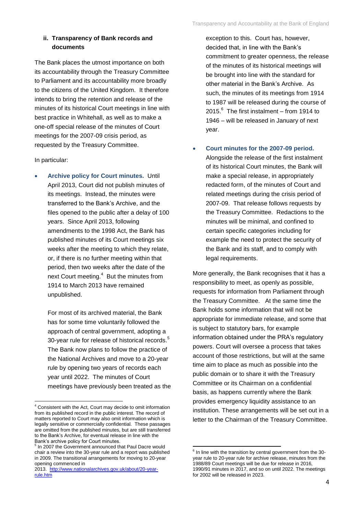#### **ii. Transparency of Bank records and documents**

The Bank places the utmost importance on both its accountability through the Treasury Committee to Parliament and its accountability more broadly to the citizens of the United Kingdom. It therefore intends to bring the retention and release of the minutes of its historical Court meetings in line with best practice in Whitehall, as well as to make a one-off special release of the minutes of Court meetings for the 2007-09 crisis period, as requested by the Treasury Committee.

#### In particular:

**.** 

 **Archive policy for Court minutes.** Until April 2013, Court did not publish minutes of its meetings. Instead, the minutes were transferred to the Bank's Archive, and the files opened to the public after a delay of 100 years. Since April 2013, following amendments to the 1998 Act, the Bank has published minutes of its Court meetings six weeks after the meeting to which they relate, or, if there is no further meeting within that period, then two weeks after the date of the next Court meeting.<sup>4</sup> But the minutes from 1914 to March 2013 have remained unpublished.

For most of its archived material, the Bank has for some time voluntarily followed the approach of central government, adopting a 30-year rule for release of historical records.<sup>5</sup> The Bank now plans to follow the practice of the National Archives and move to a 20-year rule by opening two years of records each year until 2022. The minutes of Court meetings have previously been treated as the exception to this. Court has, however, decided that, in line with the Bank's commitment to greater openness, the release of the minutes of its historical meetings will be brought into line with the standard for other material in the Bank's Archive. As such, the minutes of its meetings from 1914 to 1987 will be released during the course of 2015. $^6$  The first instalment – from 1914 to 1946 – will be released in January of next year.

 **Court minutes for the 2007-09 period.** Alongside the release of the first instalment of its historical Court minutes, the Bank will make a special release, in appropriately redacted form, of the minutes of Court and related meetings during the crisis period of 2007-09. That release follows requests by the Treasury Committee. Redactions to the minutes will be minimal, and confined to certain specific categories including for example the need to protect the security of the Bank and its staff, and to comply with legal requirements.

More generally, the Bank recognises that it has a responsibility to meet, as openly as possible, requests for information from Parliament through the Treasury Committee. At the same time the Bank holds some information that will not be appropriate for immediate release, and some that is subject to statutory bars, for example information obtained under the PRA's regulatory powers. Court will oversee a process that takes account of those restrictions, but will at the same time aim to place as much as possible into the public domain or to share it with the Treasury Committee or its Chairman on a confidential basis, as happens currently where the Bank provides emergency liquidity assistance to an institution. These arrangements will be set out in a letter to the Chairman of the Treasury Committee.

<sup>&</sup>lt;sup>4</sup> Consistent with the Act, Court may decide to omit information from its published record in the public interest. The record of matters reported to Court may also omit information which is legally sensitive or commercially confidential. These passages are omitted from the published minutes, but are still transferred to the Bank's Archive, for eventual release in line with the Bank's archive policy for Court minutes.

<sup>&</sup>lt;sup>5</sup> In 2007 the Government announced that Paul Dacre would chair a review into the 30-year rule and a report was published in 2009. The transitional arrangements for moving to 20-year opening commenced in

<sup>2013.</sup> [http://www.nationalarchives.gov.uk/about/20-year](http://www.nationalarchives.gov.uk/about/20-year-rule.htm)[rule.htm](http://www.nationalarchives.gov.uk/about/20-year-rule.htm)

 6 In line with the transition by central government from the 30 year rule to 20-year rule for archive release, minutes from the 1988/89 Court meetings will be due for release in 2016, 1990/91 minutes in 2017, and so on until 2022. The meetings for 2002 will be released in 2023.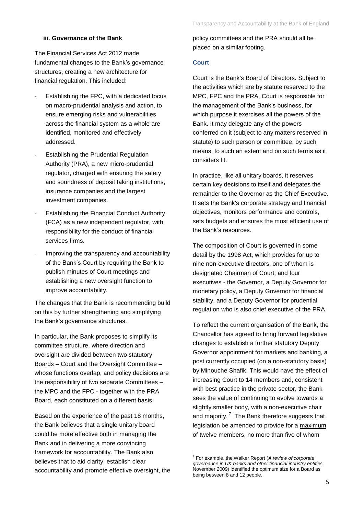#### **iii. Governance of the Bank**

The Financial Services Act 2012 made fundamental changes to the Bank's governance structures, creating a new architecture for financial regulation. This included:

- Establishing the FPC, with a dedicated focus on macro-prudential analysis and action, to ensure emerging risks and vulnerabilities across the financial system as a whole are identified, monitored and effectively addressed.
- **Establishing the Prudential Regulation** Authority (PRA), a new micro-prudential regulator, charged with ensuring the safety and soundness of deposit taking institutions, insurance companies and the largest investment companies.
- Establishing the Financial Conduct Authority (FCA) as a new independent regulator, with responsibility for the conduct of financial services firms.
- Improving the transparency and accountability of the Bank's Court by requiring the Bank to publish minutes of Court meetings and establishing a new oversight function to improve accountability.

The changes that the Bank is recommending build on this by further strengthening and simplifying the Bank's governance structures.

In particular, the Bank proposes to simplify its committee structure, where direction and oversight are divided between two statutory Boards – Court and the Oversight Committee – whose functions overlap, and policy decisions are the responsibility of two separate Committees – the MPC and the FPC - together with the PRA Board, each constituted on a different basis.

Based on the experience of the past 18 months, the Bank believes that a single unitary board could be more effective both in managing the Bank and in delivering a more convincing framework for accountability. The Bank also believes that to aid clarity, establish clear accountability and promote effective oversight, the policy committees and the PRA should all be placed on a similar footing.

#### **Court**

Court is the Bank's Board of Directors. Subject to the activities which are by statute reserved to the MPC, FPC and the PRA, Court is responsible for the management of the Bank's business, for which purpose it exercises all the powers of the Bank. It may delegate any of the powers conferred on it (subject to any matters reserved in statute) to such person or committee, by such means, to such an extent and on such terms as it considers fit.

In practice, like all unitary boards, it reserves certain key decisions to itself and delegates the remainder to the Governor as the Chief Executive. It sets the Bank's corporate strategy and financial objectives, monitors performance and controls, sets budgets and ensures the most efficient use of the Bank's resources.

The composition of Court is governed in some detail by the 1998 Act, which provides for up to nine non-executive directors, one of whom is designated Chairman of Court; and four executives - the Governor, a Deputy Governor for monetary policy, a Deputy Governor for financial stability, and a Deputy Governor for prudential regulation who is also chief executive of the PRA.

To reflect the current organisation of the Bank, the Chancellor has agreed to bring forward legislative changes to establish a further statutory Deputy Governor appointment for markets and banking, a post currently occupied (on a non-statutory basis) by Minouche Shafik. This would have the effect of increasing Court to 14 members and, consistent with best practice in the private sector, the Bank sees the value of continuing to evolve towards a slightly smaller body, with a non-executive chair and majority.<sup>7</sup> The Bank therefore suggests that legislation be amended to provide for a maximum of twelve members, no more than five of whom

 7 For example, the Walker Report (*A review of corporate governance in UK banks and other financial industry entities,*  November 2009) identified the optimum size for a Board as being between 8 and 12 people.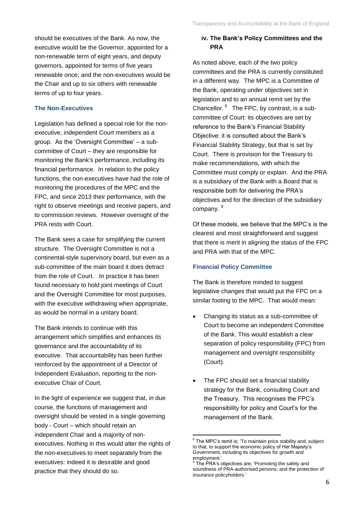should be executives of the Bank. As now, the executive would be the Governor, appointed for a non-renewable term of eight years, and deputy governors, appointed for terms of five years renewable once; and the non-executives would be the Chair and up to six others with renewable terms of up to four years.

#### **The Non-Executives**

Legislation has defined a special role for the nonexecutive, independent Court members as a group. As the 'Oversight Committee' – a subcommittee of Court – they are responsible for monitoring the Bank's performance, including its financial performance. In relation to the policy functions, the non-executives have had the role of monitoring the procedures of the MPC and the FPC, and since 2013 their performance, with the right to observe meetings and receive papers, and to commission reviews. However oversight of the PRA rests with Court.

The Bank sees a case for simplifying the current structure. The Oversight Committee is not a continental-style supervisory board, but even as a sub-committee of the main board it does detract from the role of Court. In practice it has been found necessary to hold joint meetings of Court and the Oversight Committee for most purposes, with the executive withdrawing when appropriate, as would be normal in a unitary board.

The Bank intends to continue with this arrangement which simplifies and enhances its governance and the accountability of its executive. That accountability has been further reinforced by the appointment of a Director of Independent Evaluation, reporting to the nonexecutive Chair of Court.

In the light of experience we suggest that, in due course, the functions of management and oversight should be vested in a single governing body - Court – which should retain an independent Chair and a majority of nonexecutives. Nothing in this would alter the rights of the non-executives to meet separately from the executives: indeed it is desirable and good practice that they should do so.

## **iv. The Bank's Policy Committees and the PRA**

As noted above, each of the two policy committees and the PRA is currently constituted in a different way. The MPC is a Committee of the Bank, operating under objectives set in legislation and to an annual remit set by the Chancellor. $8$  The FPC, by contrast, is a subcommittee of Court: its objectives are set by reference to the Bank's Financial Stability Objective: it is consulted about the Bank's Financial Stability Strategy, but that is set by Court. There is provision for the Treasury to make recommendations, with which the Committee must comply or explain. And the PRA is a subsidiary of the Bank with a Board that is responsible both for delivering the PRA's objectives and for the direction of the subsidiary company.<sup>9</sup>

Of these models, we believe that the MPC's is the clearest and most straightforward and suggest that there is merit in aligning the status of the FPC and PRA with that of the MPC.

## **Financial Policy Committee**

The Bank is therefore minded to suggest legislative changes that would put the FPC on a similar footing to the MPC. That would mean:

- Changing its status as a sub-committee of Court to become an independent Committee of the Bank. This would establish a clear separation of policy responsibility (FPC) from management and oversight responsibility (Court).
- The FPC should set a financial stability strategy for the Bank, consulting Court and the Treasury. This recognises the FPC's responsibility for policy and Court's for the management of the Bank.

1

<sup>&</sup>lt;sup>8</sup> The MPC's remit is; 'To maintain price stability and, subject to that, to support the economic policy of Her Majesty's Government, including its objectives for growth and employment.'<br><sup>9</sup> The PDA's

The PRA's objectives are; 'Promoting the safety and soundness of PRA-authorised persons; and the protection of insurance policyholders.'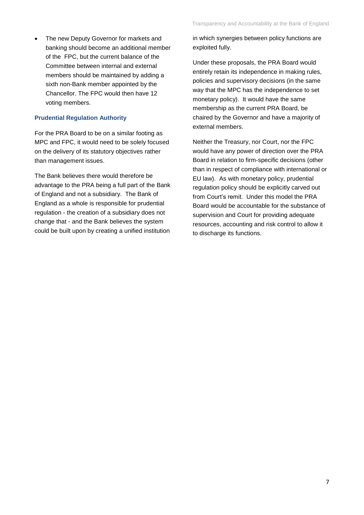The new Deputy Governor for markets and banking should become an additional member of the FPC, but the current balance of the Committee between internal and external members should be maintained by adding a sixth non-Bank member appointed by the Chancellor. The FPC would then have 12 voting members.

#### **Prudential Regulation Authority**

For the PRA Board to be on a similar footing as MPC and FPC, it would need to be solely focused on the delivery of its statutory objectives rather than management issues.

The Bank believes there would therefore be advantage to the PRA being a full part of the Bank of England and not a subsidiary. The Bank of England as a whole is responsible for prudential regulation - the creation of a subsidiary does not change that - and the Bank believes the system could be built upon by creating a unified institution

in which synergies between policy functions are exploited fully.

Under these proposals, the PRA Board would entirely retain its independence in making rules, policies and supervisory decisions (in the same way that the MPC has the independence to set monetary policy). It would have the same membership as the current PRA Board, be chaired by the Governor and have a majority of external members.

Neither the Treasury, nor Court, nor the FPC would have any power of direction over the PRA Board in relation to firm-specific decisions (other than in respect of compliance with international or EU law). As with monetary policy, prudential regulation policy should be explicitly carved out from Court's remit. Under this model the PRA Board would be accountable for the substance of supervision and Court for providing adequate resources, accounting and risk control to allow it to discharge its functions.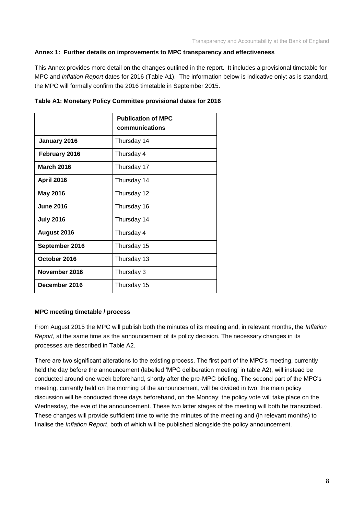#### **Annex 1: Further details on improvements to MPC transparency and effectiveness**

This Annex provides more detail on the changes outlined in the report. It includes a provisional timetable for MPC and *Inflation Report* dates for 2016 (Table A1). The information below is indicative only: as is standard, the MPC will formally confirm the 2016 timetable in September 2015.

|                   | <b>Publication of MPC</b><br>communications |
|-------------------|---------------------------------------------|
| January 2016      | Thursday 14                                 |
| February 2016     | Thursday 4                                  |
| <b>March 2016</b> | Thursday 17                                 |
| <b>April 2016</b> | Thursday 14                                 |
| <b>May 2016</b>   | Thursday 12                                 |
| <b>June 2016</b>  | Thursday 16                                 |
| <b>July 2016</b>  | Thursday 14                                 |
| August 2016       | Thursday 4                                  |
| September 2016    | Thursday 15                                 |
| October 2016      | Thursday 13                                 |
| November 2016     | Thursday 3                                  |
| December 2016     | Thursday 15                                 |

**Table A1: Monetary Policy Committee provisional dates for 2016**

## **MPC meeting timetable / process**

From August 2015 the MPC will publish both the minutes of its meeting and, in relevant months, the *Inflation Report*, at the same time as the announcement of its policy decision. The necessary changes in its processes are described in Table A2.

There are two significant alterations to the existing process. The first part of the MPC's meeting, currently held the day before the announcement (labelled 'MPC deliberation meeting' in table A2), will instead be conducted around one week beforehand, shortly after the pre-MPC briefing. The second part of the MPC's meeting, currently held on the morning of the announcement, will be divided in two: the main policy discussion will be conducted three days beforehand, on the Monday; the policy vote will take place on the Wednesday, the eve of the announcement. These two latter stages of the meeting will both be transcribed. These changes will provide sufficient time to write the minutes of the meeting and (in relevant months) to finalise the *Inflation Report*, both of which will be published alongside the policy announcement.